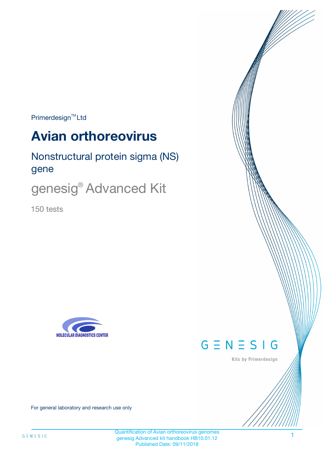$Primerdesign^{\text{TM}}Ltd$ 

# **Avian orthoreovirus**

Nonstructural protein sigma (NS) gene

genesig<sup>®</sup> Advanced Kit

150 tests





Kits by Primerdesign

For general laboratory and research use only

Quantification of Avian orthoreovirus genomes genesig Advanced kit handbook HB10.01.12 Published Date: 09/11/2018

1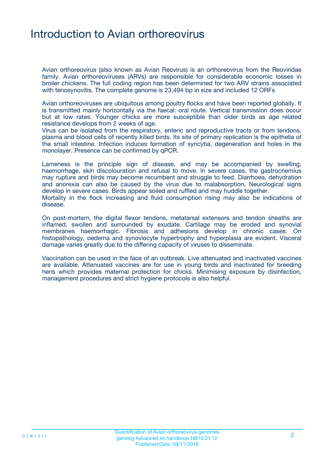### Introduction to Avian orthoreovirus

Avian orthoreovirus (also known as Avian Reovirus) is an orthoreovirus from the Reoviridae family. Avian orthoreoviruses (ARVs) are responsible for considerable economic losses in broiler chickens. The full coding region has been determined for two ARV strains associated with tenosynovitis. The complete genome is 23,494 bp in size and included 12 ORFs

Avian orthoreoviruses are ubiquitous among poultry flocks and have been reported globally. It is transmitted mainly horizontally via the faecal: oral route. Vertical transmission does occur but at low rates. Younger chicks are more susceptible than older birds as age related resistance develops from 2 weeks of age.

Virus can be isolated from the respiratory, enteric and reproductive tracts or from tendons, plasma and blood cells of recently killed birds. Its site of primary replication is the epithelia of the small intestine. Infection induces formation of syncytia, degeneration and holes in the monolayer. Presence can be confirmed by qPCR.

Lameness is the principle sign of disease, and may be accompanied by swelling, haemorrhage, skin discolouration and refusal to move. In severe cases, the gastrocnemius may rupture and birds may become recumbent and struggle to feed. Diarrhoea, dehydration and anorexia can also be caused by the virus due to malabsorption, Neurological signs develop in severe cases. Birds appear soiled and ruffled and may huddle together. Mortality in the flock increasing and fluid consumption rising may also be indications of disease.

On post-mortem, the digital flexor tendons, metatarsal extensors and tendon sheaths are inflamed, swollen and surrounded by exudate. Cartilage may be eroded and synovial membranes haemorrhagic. Fibrosis and adhesions develop in chronic cases. On histopathology, oedema and synoviocyte hypertrophy and hyperplasia are evident. Visceral damage varies greatly due to the differing capacity of viruses to disseminate.

Vaccination can be used in the face of an outbreak. Live attenuated and inactivated vaccines are available. Attenuated vaccines are for use in young birds and inactivated for breeding hens which provides maternal protection for chicks. Minimising exposure by disinfection, management procedures and strict hygiene protocols is also helpful.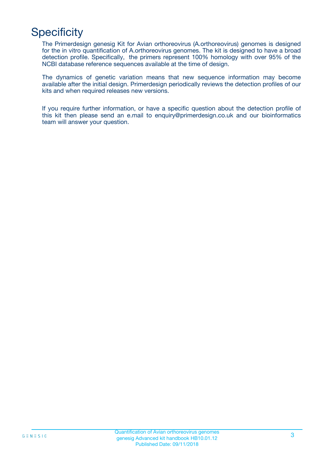# **Specificity**

The Primerdesign genesig Kit for Avian orthoreovirus (A.orthoreovirus) genomes is designed for the in vitro quantification of A.orthoreovirus genomes. The kit is designed to have a broad detection profile. Specifically, the primers represent 100% homology with over 95% of the NCBI database reference sequences available at the time of design.

The dynamics of genetic variation means that new sequence information may become available after the initial design. Primerdesign periodically reviews the detection profiles of our kits and when required releases new versions.

If you require further information, or have a specific question about the detection profile of this kit then please send an e.mail to enquiry@primerdesign.co.uk and our bioinformatics team will answer your question.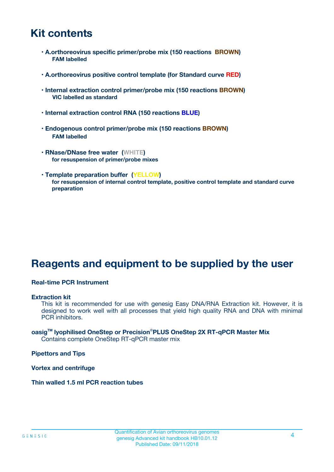### **Kit contents**

- **A.orthoreovirus specific primer/probe mix (150 reactions BROWN) FAM labelled**
- **A.orthoreovirus positive control template (for Standard curve RED)**
- **Internal extraction control primer/probe mix (150 reactions BROWN) VIC labelled as standard**
- **Internal extraction control RNA (150 reactions BLUE)**
- **Endogenous control primer/probe mix (150 reactions BROWN) FAM labelled**
- **RNase/DNase free water (WHITE) for resuspension of primer/probe mixes**
- **Template preparation buffer (YELLOW) for resuspension of internal control template, positive control template and standard curve preparation**

### **Reagents and equipment to be supplied by the user**

#### **Real-time PCR Instrument**

#### **Extraction kit**

This kit is recommended for use with genesig Easy DNA/RNA Extraction kit. However, it is designed to work well with all processes that yield high quality RNA and DNA with minimal PCR inhibitors.

#### **oasigTM lyophilised OneStep or Precision**®**PLUS OneStep 2X RT-qPCR Master Mix** Contains complete OneStep RT-qPCR master mix

**Pipettors and Tips**

**Vortex and centrifuge**

**Thin walled 1.5 ml PCR reaction tubes**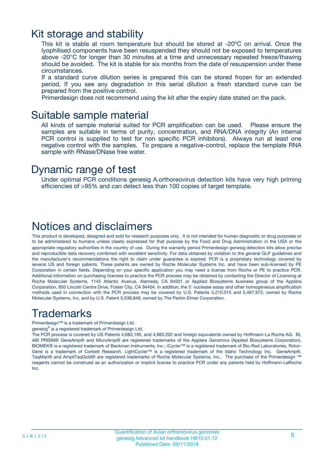### Kit storage and stability

This kit is stable at room temperature but should be stored at -20ºC on arrival. Once the lyophilised components have been resuspended they should not be exposed to temperatures above -20°C for longer than 30 minutes at a time and unnecessary repeated freeze/thawing should be avoided. The kit is stable for six months from the date of resuspension under these circumstances.

If a standard curve dilution series is prepared this can be stored frozen for an extended period. If you see any degradation in this serial dilution a fresh standard curve can be prepared from the positive control.

Primerdesign does not recommend using the kit after the expiry date stated on the pack.

### Suitable sample material

All kinds of sample material suited for PCR amplification can be used. Please ensure the samples are suitable in terms of purity, concentration, and RNA/DNA integrity (An internal PCR control is supplied to test for non specific PCR inhibitors). Always run at least one negative control with the samples. To prepare a negative-control, replace the template RNA sample with RNase/DNase free water.

### Dynamic range of test

Under optimal PCR conditions genesig A.orthoreovirus detection kits have very high priming efficiencies of >95% and can detect less than 100 copies of target template.

### Notices and disclaimers

This product is developed, designed and sold for research purposes only. It is not intended for human diagnostic or drug purposes or to be administered to humans unless clearly expressed for that purpose by the Food and Drug Administration in the USA or the appropriate regulatory authorities in the country of use. During the warranty period Primerdesign genesig detection kits allow precise and reproducible data recovery combined with excellent sensitivity. For data obtained by violation to the general GLP guidelines and the manufacturer's recommendations the right to claim under guarantee is expired. PCR is a proprietary technology covered by several US and foreign patents. These patents are owned by Roche Molecular Systems Inc. and have been sub-licensed by PE Corporation in certain fields. Depending on your specific application you may need a license from Roche or PE to practice PCR. Additional information on purchasing licenses to practice the PCR process may be obtained by contacting the Director of Licensing at Roche Molecular Systems, 1145 Atlantic Avenue, Alameda, CA 94501 or Applied Biosystems business group of the Applera Corporation, 850 Lincoln Centre Drive, Foster City, CA 94404. In addition, the 5' nuclease assay and other homogeneous amplification methods used in connection with the PCR process may be covered by U.S. Patents 5,210,015 and 5,487,972, owned by Roche Molecular Systems, Inc, and by U.S. Patent 5,538,848, owned by The Perkin-Elmer Corporation.

### Trademarks

Primerdesign™ is a trademark of Primerdesign Ltd.

genesig® is a registered trademark of Primerdesign Ltd.

The PCR process is covered by US Patents 4,683,195, and 4,683,202 and foreign equivalents owned by Hoffmann-La Roche AG. BI, ABI PRISM® GeneAmp® and MicroAmp® are registered trademarks of the Applera Genomics (Applied Biosystems Corporation). BIOMEK® is a registered trademark of Beckman Instruments, Inc.; iCycler™ is a registered trademark of Bio-Rad Laboratories, Rotor-Gene is a trademark of Corbett Research. LightCycler™ is a registered trademark of the Idaho Technology Inc. GeneAmp®, TaqMan® and AmpliTaqGold® are registered trademarks of Roche Molecular Systems, Inc., The purchase of the Primerdesign ™ reagents cannot be construed as an authorization or implicit license to practice PCR under any patents held by Hoffmann-LaRoche Inc.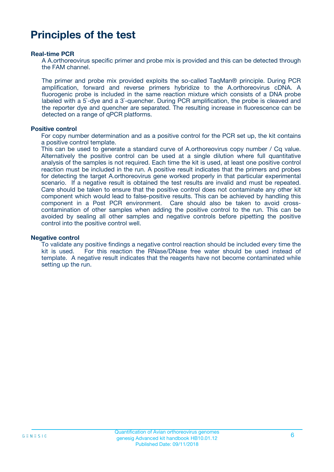### **Principles of the test**

#### **Real-time PCR**

A A.orthoreovirus specific primer and probe mix is provided and this can be detected through the FAM channel.

The primer and probe mix provided exploits the so-called TaqMan® principle. During PCR amplification, forward and reverse primers hybridize to the A.orthoreovirus cDNA. A fluorogenic probe is included in the same reaction mixture which consists of a DNA probe labeled with a 5`-dye and a 3`-quencher. During PCR amplification, the probe is cleaved and the reporter dye and quencher are separated. The resulting increase in fluorescence can be detected on a range of qPCR platforms.

#### **Positive control**

For copy number determination and as a positive control for the PCR set up, the kit contains a positive control template.

This can be used to generate a standard curve of A.orthoreovirus copy number / Cq value. Alternatively the positive control can be used at a single dilution where full quantitative analysis of the samples is not required. Each time the kit is used, at least one positive control reaction must be included in the run. A positive result indicates that the primers and probes for detecting the target A.orthoreovirus gene worked properly in that particular experimental scenario. If a negative result is obtained the test results are invalid and must be repeated. Care should be taken to ensure that the positive control does not contaminate any other kit component which would lead to false-positive results. This can be achieved by handling this component in a Post PCR environment. Care should also be taken to avoid crosscontamination of other samples when adding the positive control to the run. This can be avoided by sealing all other samples and negative controls before pipetting the positive control into the positive control well.

#### **Negative control**

To validate any positive findings a negative control reaction should be included every time the kit is used. For this reaction the RNase/DNase free water should be used instead of template. A negative result indicates that the reagents have not become contaminated while setting up the run.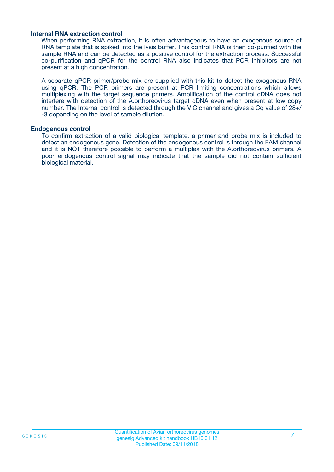#### **Internal RNA extraction control**

When performing RNA extraction, it is often advantageous to have an exogenous source of RNA template that is spiked into the lysis buffer. This control RNA is then co-purified with the sample RNA and can be detected as a positive control for the extraction process. Successful co-purification and qPCR for the control RNA also indicates that PCR inhibitors are not present at a high concentration.

A separate qPCR primer/probe mix are supplied with this kit to detect the exogenous RNA using qPCR. The PCR primers are present at PCR limiting concentrations which allows multiplexing with the target sequence primers. Amplification of the control cDNA does not interfere with detection of the A.orthoreovirus target cDNA even when present at low copy number. The Internal control is detected through the VIC channel and gives a Cq value of 28+/ -3 depending on the level of sample dilution.

#### **Endogenous control**

To confirm extraction of a valid biological template, a primer and probe mix is included to detect an endogenous gene. Detection of the endogenous control is through the FAM channel and it is NOT therefore possible to perform a multiplex with the A.orthoreovirus primers. A poor endogenous control signal may indicate that the sample did not contain sufficient biological material.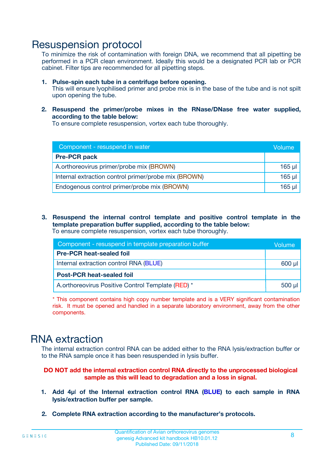### Resuspension protocol

To minimize the risk of contamination with foreign DNA, we recommend that all pipetting be performed in a PCR clean environment. Ideally this would be a designated PCR lab or PCR cabinet. Filter tips are recommended for all pipetting steps.

- **1. Pulse-spin each tube in a centrifuge before opening.** This will ensure lyophilised primer and probe mix is in the base of the tube and is not spilt upon opening the tube.
- **2. Resuspend the primer/probe mixes in the RNase/DNase free water supplied, according to the table below:**

To ensure complete resuspension, vortex each tube thoroughly.

| Component - resuspend in water                       |          |  |
|------------------------------------------------------|----------|--|
| <b>Pre-PCR pack</b>                                  |          |  |
| A.orthoreovirus primer/probe mix (BROWN)             | $165$ µl |  |
| Internal extraction control primer/probe mix (BROWN) | $165$ µl |  |
| Endogenous control primer/probe mix (BROWN)          | 165 µl   |  |

**3. Resuspend the internal control template and positive control template in the template preparation buffer supplied, according to the table below:** To ensure complete resuspension, vortex each tube thoroughly.

| Component - resuspend in template preparation buffer |  |  |  |
|------------------------------------------------------|--|--|--|
| <b>Pre-PCR heat-sealed foil</b>                      |  |  |  |
| Internal extraction control RNA (BLUE)               |  |  |  |
| <b>Post-PCR heat-sealed foil</b>                     |  |  |  |
| A.orthoreovirus Positive Control Template (RED) *    |  |  |  |

\* This component contains high copy number template and is a VERY significant contamination risk. It must be opened and handled in a separate laboratory environment, away from the other components.

### RNA extraction

The internal extraction control RNA can be added either to the RNA lysis/extraction buffer or to the RNA sample once it has been resuspended in lysis buffer.

#### **DO NOT add the internal extraction control RNA directly to the unprocessed biological sample as this will lead to degradation and a loss in signal.**

- **1. Add 4µ**l **of the Internal extraction control RNA (BLUE) to each sample in RNA lysis/extraction buffer per sample.**
- **2. Complete RNA extraction according to the manufacturer's protocols.**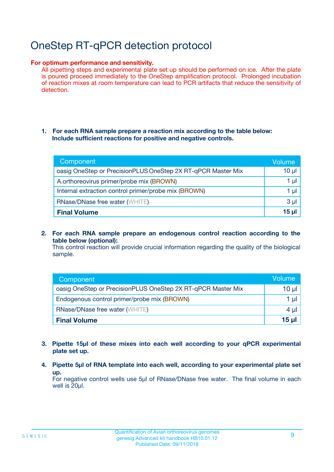# OneStep RT-qPCR detection protocol

#### **For optimum performance and sensitivity.**

All pipetting steps and experimental plate set up should be performed on ice. After the plate is poured proceed immediately to the OneStep amplification protocol. Prolonged incubation of reaction mixes at room temperature can lead to PCR artifacts that reduce the sensitivity of detection.

#### **1. For each RNA sample prepare a reaction mix according to the table below: Include sufficient reactions for positive and negative controls.**

| Component                                                    | Volume   |
|--------------------------------------------------------------|----------|
| oasig OneStep or PrecisionPLUS OneStep 2X RT-qPCR Master Mix | $10 \mu$ |
| A.orthoreovirus primer/probe mix (BROWN)                     | 1 µI     |
| Internal extraction control primer/probe mix (BROWN)         | 1 µI     |
| <b>RNase/DNase free water (WHITE)</b>                        | $3 \mu$  |
| <b>Final Volume</b>                                          | 15 ul    |

**2. For each RNA sample prepare an endogenous control reaction according to the table below (optional):**

This control reaction will provide crucial information regarding the quality of the biological sample.

| Component                                                    | Volume          |
|--------------------------------------------------------------|-----------------|
| oasig OneStep or PrecisionPLUS OneStep 2X RT-qPCR Master Mix | $10 \mu$        |
| Endogenous control primer/probe mix (BROWN)                  | 1 µI            |
| <b>RNase/DNase free water (WHITE)</b>                        | 4 µl            |
| <b>Final Volume</b>                                          | 15 <sub>µ</sub> |

- **3. Pipette 15µl of these mixes into each well according to your qPCR experimental plate set up.**
- **4. Pipette 5µl of RNA template into each well, according to your experimental plate set up.**

For negative control wells use 5µl of RNase/DNase free water. The final volume in each well is 20µl.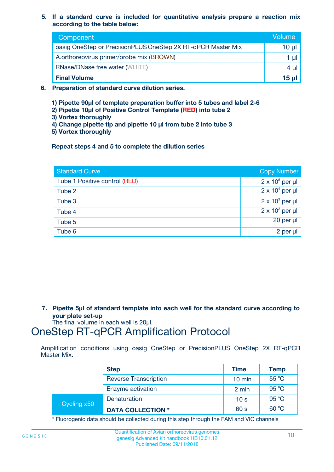**5. If a standard curve is included for quantitative analysis prepare a reaction mix according to the table below:**

| Component                                                    | Volume   |  |
|--------------------------------------------------------------|----------|--|
| oasig OneStep or PrecisionPLUS OneStep 2X RT-qPCR Master Mix | $10 \mu$ |  |
| A.orthoreovirus primer/probe mix (BROWN)                     |          |  |
| <b>RNase/DNase free water (WHITE)</b>                        | 4 U      |  |
| <b>Final Volume</b>                                          | $15 \mu$ |  |

- **6. Preparation of standard curve dilution series.**
	- **1) Pipette 90µl of template preparation buffer into 5 tubes and label 2-6**
	- **2) Pipette 10µl of Positive Control Template (RED) into tube 2**
	- **3) Vortex thoroughly**
	- **4) Change pipette tip and pipette 10 µl from tube 2 into tube 3**
	- **5) Vortex thoroughly**

**Repeat steps 4 and 5 to complete the dilution series**

| <b>Standard Curve</b>         | <b>Copy Number</b>     |
|-------------------------------|------------------------|
| Tube 1 Positive control (RED) | $2 \times 10^5$ per µl |
| Tube 2                        | $2 \times 10^4$ per µl |
| Tube 3                        | $2 \times 10^3$ per µl |
| Tube 4                        | $2 \times 10^2$ per µl |
| Tube 5                        | 20 per µl              |
| Tube 6                        | 2 per µl               |

**7. Pipette 5µl of standard template into each well for the standard curve according to your plate set-up**

The final volume in each well is 20µl.

### OneStep RT-qPCR Amplification Protocol

Amplification conditions using oasig OneStep or PrecisionPLUS OneStep 2X RT-qPCR Master Mix.

|             | <b>Step</b>                  | <b>Time</b>      | <b>Temp</b> |
|-------------|------------------------------|------------------|-------------|
|             | <b>Reverse Transcription</b> | $10 \text{ min}$ | 55 °C       |
|             | Enzyme activation            | 2 min            | 95 °C       |
| Cycling x50 | Denaturation                 | 10 <sub>s</sub>  | 95 °C       |
|             | <b>DATA COLLECTION *</b>     | 60 s             | 60 °C       |

\* Fluorogenic data should be collected during this step through the FAM and VIC channels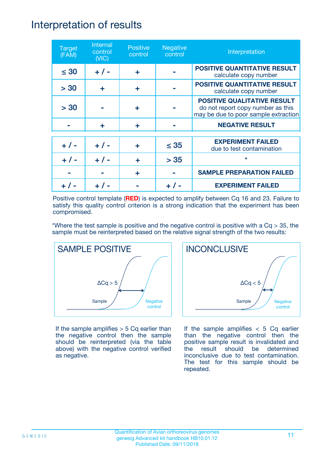### Interpretation of results

| <b>Target</b><br>(FAM) | Internal<br>control<br>(NIC) | <b>Positive</b><br>control | <b>Negative</b><br>control | Interpretation                                                                                                  |
|------------------------|------------------------------|----------------------------|----------------------------|-----------------------------------------------------------------------------------------------------------------|
| $\leq 30$              | $+ 1 -$                      | ÷                          |                            | <b>POSITIVE QUANTITATIVE RESULT</b><br>calculate copy number                                                    |
| > 30                   | ÷                            | ÷                          |                            | <b>POSITIVE QUANTITATIVE RESULT</b><br>calculate copy number                                                    |
| > 30                   |                              | ÷                          |                            | <b>POSITIVE QUALITATIVE RESULT</b><br>do not report copy number as this<br>may be due to poor sample extraction |
|                        | ÷                            | ÷                          |                            | <b>NEGATIVE RESULT</b>                                                                                          |
| $+ 1 -$                | $+ 1 -$                      | ÷                          | $\leq$ 35                  | <b>EXPERIMENT FAILED</b><br>due to test contamination                                                           |
|                        | $+$ / -                      |                            | > 35                       | $\star$                                                                                                         |
|                        |                              | ÷                          |                            | <b>SAMPLE PREPARATION FAILED</b>                                                                                |
|                        |                              |                            |                            | <b>EXPERIMENT FAILED</b>                                                                                        |

Positive control template (**RED**) is expected to amplify between Cq 16 and 23. Failure to satisfy this quality control criterion is a strong indication that the experiment has been compromised.

\*Where the test sample is positive and the negative control is positive with a  $Cq > 35$ , the sample must be reinterpreted based on the relative signal strength of the two results:



If the sample amplifies  $> 5$  Cq earlier than the negative control then the sample should be reinterpreted (via the table above) with the negative control verified as negative.



If the sample amplifies  $< 5$  Cq earlier than the negative control then the positive sample result is invalidated and the result should be determined inconclusive due to test contamination. The test for this sample should be repeated.